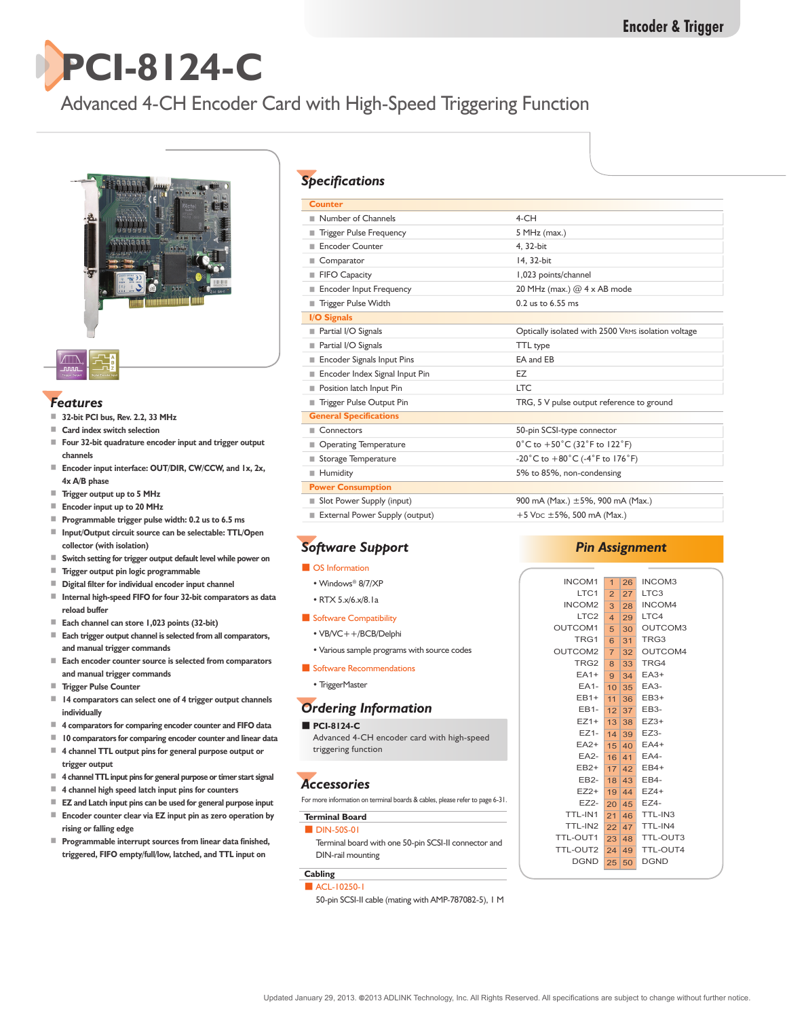

## Advanced 4-CH Encoder Card with High-Speed Triggering Function



#### *Features*

- **32-bit PCI bus, Rev. 2.2, 33 MHz**
- **Card index switch selection**
- **Four 32-bit quadrature encoder input and trigger output channels**
- **Encoder input interface: OUT/DIR, CW/CCW, and 1x, 2x, 4x A/B phase**
- **Trigger output up to 5 MHz**
- **Encoder input up to 20 MHz**
- **Programmable trigger pulse width: 0.2 us to 6.5 ms**
- **Input/Output circuit source can be selectable: TTL/Open collector (with isolation)**
- **Switch setting for trigger output default level while power on**
- **Trigger output pin logic programmable**
- **Digital filter for individual encoder input channel**
- **Internal high-speed FIFO for four 32-bit comparators as data reload buffer**
- **Each channel can store 1,023 points (32-bit)**
- **Each trigger output channel is selected from all comparators, and manual trigger commands**
- **Each encoder counter source is selected from comparators and manual trigger commands**
- **Trigger Pulse Counter**
- **14 comparators can select one of 4 trigger output channels individually**
- **4 comparators for comparing encoder counter and FIFO data**
- **10 comparators for comparing encoder counter and linear data**
- 4 channel TTL output pins for general purpose output or **trigger output**
- **4 channel TTL input pins for general purpose or timer start signal**
- **4 channel high speed latch input pins for counters**
- **EZ and Latch input pins can be used for general purpose input**
- **Encoder counter clear via EZ** input pin as zero operation by **rising or falling edge**
- **Programmable interrupt sources from linear data finished, triggered, FIFO empty/full/low, latched, and TTL input on**

### *Specifications*

| <b>Counter</b>                 |                                                                         |  |
|--------------------------------|-------------------------------------------------------------------------|--|
| Number of Channels             | $4$ -CH                                                                 |  |
| <b>Trigger Pulse Frequency</b> | 5 MHz (max.)                                                            |  |
| <b>Encoder Counter</b>         | 4.32-bit                                                                |  |
| ■ Comparator                   | 14.32-bit                                                               |  |
| FIFO Capacity                  | 1,023 points/channel                                                    |  |
| <b>Encoder Input Frequency</b> | 20 MHz (max.) @ 4 x AB mode                                             |  |
| <b>Trigger Pulse Width</b>     | 0.2 us to 6.55 ms                                                       |  |
| I/O Signals                    |                                                                         |  |
| Partial I/O Signals            | Optically isolated with 2500 VRMS isolation voltage                     |  |
| Partial I/O Signals            | TTL type                                                                |  |
| Encoder Signals Input Pins     | EA and EB                                                               |  |
| Encoder Index Signal Input Pin | EZ                                                                      |  |
| Position latch Input Pin       | <b>LTC</b>                                                              |  |
| Trigger Pulse Output Pin       | TRG, 5 V pulse output reference to ground                               |  |
| <b>General Specifications</b>  |                                                                         |  |
| Connectors                     | 50-pin SCSI-type connector                                              |  |
| Operating Temperature          | $0^{\circ}$ C to +50 $^{\circ}$ C (32 $^{\circ}$ F to 122 $^{\circ}$ F) |  |
| ■ Storage Temperature          | -20°C to +80°C (-4°F to 176°F)                                          |  |
| Humidity                       | 5% to 85%, non-condensing                                               |  |
| <b>Power Consumption</b>       |                                                                         |  |
| Slot Power Supply (input)      | 900 mA (Max.) $\pm$ 5%, 900 mA (Max.)                                   |  |
| External Power Supply (output) | +5 V <sub>DC</sub> $\pm$ 5%, 500 mA (Max.)                              |  |

## *Software Support*

- OS Information
- Windows® 8/7/XP
- RTX 5.x/6.x/8.1a
- Software Compatibility
- VB/VC++/BCB/Delphi
- Various sample programs with source codes
- Software Recommendations
- TriggerMaster

#### *Ordering Information*

#### ■ **PCI-8124-C**

Advanced 4-CH encoder card with high-speed triggering function

## *Accessories*

For more information on terminal boards & cables, please refer to page 6-31.

#### **Terminal Board ■ DIN-50S-01**

Terminal board with one 50-pin SCSI-II connector and DIN-rail mounting

#### **Cabling** ■ ACL-10250-1

50-pin SCSI-II cable (mating with AMP-787082-5), 1 M

#### *Pin Assignment*

| <b>INCOM1</b>      | $\mathbf{1}$            | 26    | INCOM3           |
|--------------------|-------------------------|-------|------------------|
| LTC <sub>1</sub>   | $\overline{2}$          | 27    | LTC <sub>3</sub> |
| INCOM <sub>2</sub> | 3                       | 28    | INCOM4           |
| LTC <sub>2</sub>   | $\overline{\mathbf{A}}$ | 29    | LTC4             |
| OUTCOM1            | 5 <sup>1</sup>          | 30    | OUTCOM3          |
| TRG1               | 6                       | 31    | TRG3             |
| OUTCOM2            | 7 <sup>7</sup>          | 32    | OUTCOM4          |
| TRG <sub>2</sub>   | 8                       | 33    | TRG4             |
| $EA1+$             | 9                       | 34    | $EAA3+$          |
| <b>EA1-</b>        | 10 <sup>1</sup>         | 35    | EA3-             |
| $EB1+$             | 11                      | 36    | $EB3+$           |
| EB1-               | 12                      | 37    | EB3-             |
| $EZ1+$             | 13 <sup>5</sup>         | 38    | $EZ3+$           |
| $EZ1-$             | 14                      | 39    | $EZ3-$           |
| $EA2+$             | 15                      | 40    | $EA4+$           |
| EA2-               | 16                      | 41    | <b>EA4-</b>      |
| $EB2+$             |                         | 17 42 | EB4+             |
| EB <sub>2</sub> -  | 18                      | 43    | EB4-             |
| $EZ2+$             | 19                      | 44    | $EZ4+$           |
| <b>EZ2-</b>        | 20 45                   |       | EZ4-             |
| TTL-IN1            | 21                      | 46    | TTL-IN3          |
| TTL-IN2            | 22                      | 47    | TTL-IN4          |
| TTL-OUT1           | 23                      | 48    | TTL-OUT3         |
| TTL-OUT2           | 24                      | 49    | TTL-OUT4         |
| <b>DGND</b>        | 25                      | 50    | <b>DGND</b>      |
|                    |                         |       |                  |